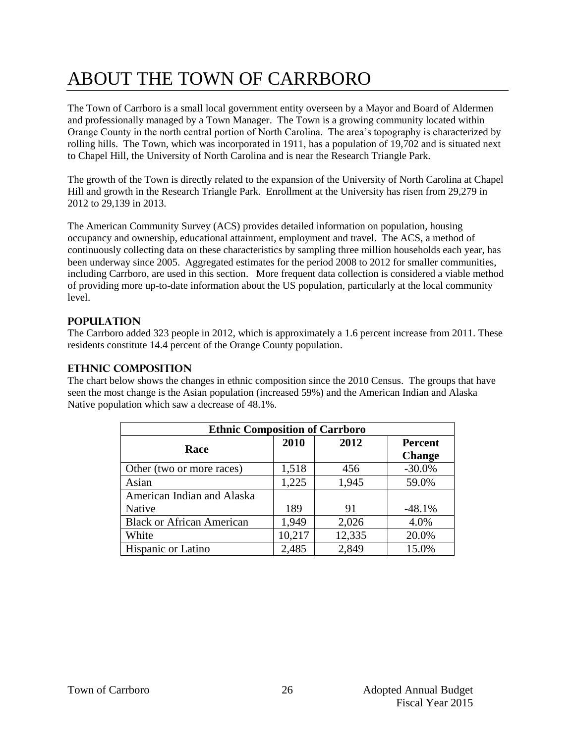# ABOUT THE TOWN OF CARRBORO

The Town of Carrboro is a small local government entity overseen by a Mayor and Board of Aldermen and professionally managed by a Town Manager. The Town is a growing community located within Orange County in the north central portion of North Carolina. The area's topography is characterized by rolling hills. The Town, which was incorporated in 1911, has a population of 19,702 and is situated next to Chapel Hill, the University of North Carolina and is near the Research Triangle Park.

The growth of the Town is directly related to the expansion of the University of North Carolina at Chapel Hill and growth in the Research Triangle Park. Enrollment at the University has risen from 29,279 in 2012 to 29,139 in 2013.

The American Community Survey (ACS) provides detailed information on population, housing occupancy and ownership, educational attainment, employment and travel. The ACS, a method of continuously collecting data on these characteristics by sampling three million households each year, has been underway since 2005. Aggregated estimates for the period 2008 to 2012 for smaller communities, including Carrboro, are used in this section. More frequent data collection is considered a viable method of providing more up-to-date information about the US population, particularly at the local community level.

#### **Population**

The Carrboro added 323 people in 2012, which is approximately a 1.6 percent increase from 2011. These residents constitute 14.4 percent of the Orange County population.

#### **Ethnic Composition**

The chart below shows the changes in ethnic composition since the 2010 Census. The groups that have seen the most change is the Asian population (increased 59%) and the American Indian and Alaska Native population which saw a decrease of 48.1%.

| <b>Ethnic Composition of Carrboro</b> |        |        |                |  |  |
|---------------------------------------|--------|--------|----------------|--|--|
| Race                                  | 2010   | 2012   | <b>Percent</b> |  |  |
|                                       |        |        | <b>Change</b>  |  |  |
| Other (two or more races)             | 1,518  | 456    | $-30.0\%$      |  |  |
| Asian                                 | 1,225  | 1,945  | 59.0%          |  |  |
| American Indian and Alaska            |        |        |                |  |  |
| Native                                | 189    | 91     | $-48.1%$       |  |  |
| <b>Black or African American</b>      | 1,949  | 2,026  | 4.0%           |  |  |
| White                                 | 10,217 | 12,335 | 20.0%          |  |  |
| Hispanic or Latino                    | 2,485  | 2,849  | 15.0%          |  |  |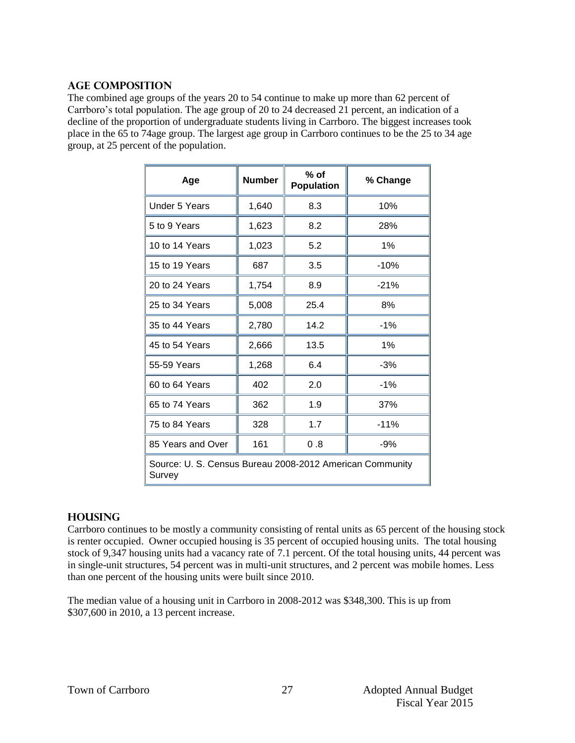#### **Age Composition**

The combined age groups of the years 20 to 54 continue to make up more than 62 percent of Carrboro's total population. The age group of 20 to 24 decreased 21 percent, an indication of a decline of the proportion of undergraduate students living in Carrboro. The biggest increases took place in the 65 to 74age group. The largest age group in Carrboro continues to be the 25 to 34 age group, at 25 percent of the population.

| Age                                                                | <b>Number</b> | $%$ of<br><b>Population</b> | % Change |  |
|--------------------------------------------------------------------|---------------|-----------------------------|----------|--|
| <b>Under 5 Years</b>                                               | 1,640         | 8.3                         | 10%      |  |
| 5 to 9 Years                                                       | 1,623         | 8.2                         | 28%      |  |
| 10 to 14 Years                                                     | 1,023         | 5.2                         | 1%       |  |
| 15 to 19 Years                                                     | 687           | 3.5                         | $-10%$   |  |
| 20 to 24 Years                                                     | 1,754         | 8.9                         | $-21%$   |  |
| 25 to 34 Years                                                     | 5,008         | 25.4                        | 8%       |  |
| 35 to 44 Years                                                     | 2,780         | 14.2                        | $-1%$    |  |
| 45 to 54 Years                                                     | 2,666         | 13.5                        | 1%       |  |
| 55-59 Years                                                        | 1,268         | 6.4                         | $-3%$    |  |
| 60 to 64 Years                                                     | 402           | 2.0                         | $-1%$    |  |
| 65 to 74 Years                                                     | 362           | 1.9                         | 37%      |  |
| 75 to 84 Years                                                     | 328           | 1.7                         | $-11%$   |  |
| 85 Years and Over                                                  | 161           | 0.8                         | -9%      |  |
| Source: U. S. Census Bureau 2008-2012 American Community<br>Survey |               |                             |          |  |

#### **Housing**

Carrboro continues to be mostly a community consisting of rental units as 65 percent of the housing stock is renter occupied. Owner occupied housing is 35 percent of occupied housing units. The total housing stock of 9,347 housing units had a vacancy rate of 7.1 percent. Of the total housing units, 44 percent was in single-unit structures, 54 percent was in multi-unit structures, and 2 percent was mobile homes. Less than one percent of the housing units were built since 2010.

The median value of a housing unit in Carrboro in 2008-2012 was \$348,300. This is up from \$307,600 in 2010, a 13 percent increase.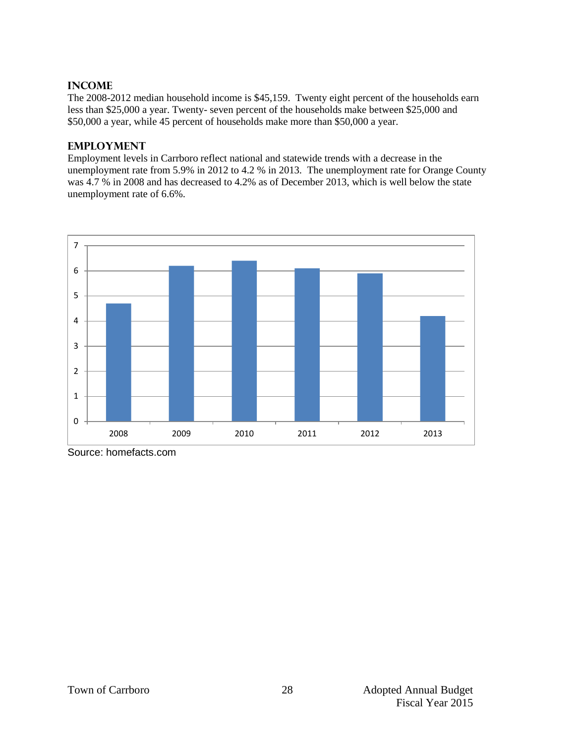#### **Income**

The 2008-2012 median household income is \$45,159. Twenty eight percent of the households earn less than \$25,000 a year. Twenty- seven percent of the households make between \$25,000 and \$50,000 a year, while 45 percent of households make more than \$50,000 a year.

#### **Employment**

Employment levels in Carrboro reflect national and statewide trends with a decrease in the unemployment rate from 5.9% in 2012 to 4.2 % in 2013. The unemployment rate for Orange County was 4.7 % in 2008 and has decreased to 4.2% as of December 2013, which is well below the state unemployment rate of 6.6%.



Source: homefacts.com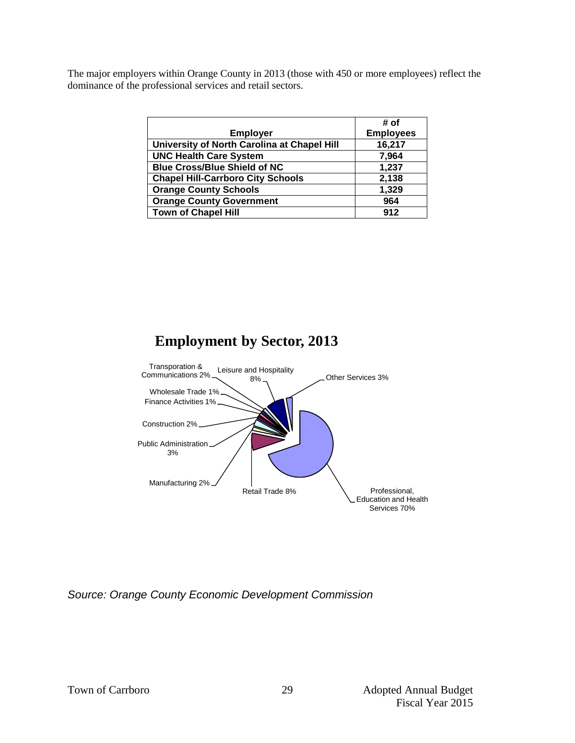The major employers within Orange County in 2013 (those with 450 or more employees) reflect the dominance of the professional services and retail sectors.

|                                             | # of             |
|---------------------------------------------|------------------|
| <b>Employer</b>                             | <b>Employees</b> |
| University of North Carolina at Chapel Hill | 16,217           |
| <b>UNC Health Care System</b>               | 7,964            |
| <b>Blue Cross/Blue Shield of NC</b>         | 1,237            |
| <b>Chapel Hill-Carrboro City Schools</b>    | 2,138            |
| <b>Orange County Schools</b>                | 1,329            |
| <b>Orange County Government</b>             | 964              |
| <b>Town of Chapel Hill</b>                  | 912              |

# **Employment by Sector, 2013**



*Source: Orange County Economic Development Commission*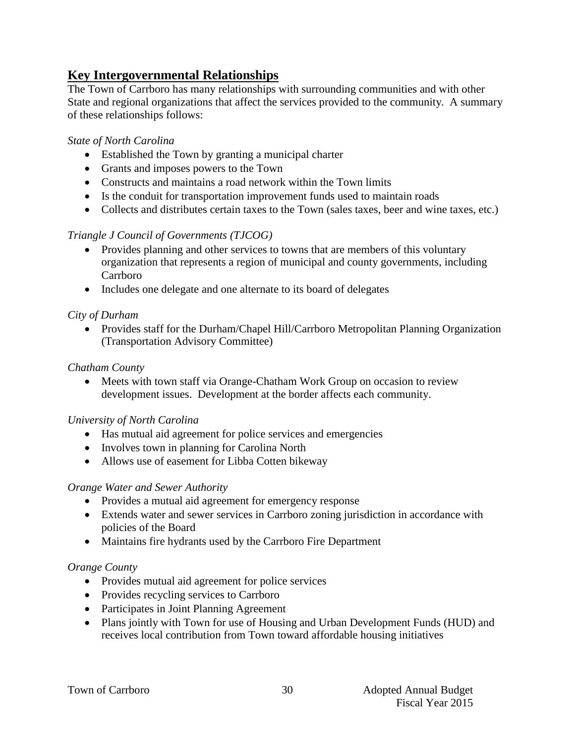# **Key Intergovernmental Relationships**

The Town of Carrboro has many relationships with surrounding communities and with other State and regional organizations that affect the services provided to the community. A summary of these relationships follows:

# *State of North Carolina*

- Established the Town by granting a municipal charter
- Grants and imposes powers to the Town
- Constructs and maintains a road network within the Town limits
- Is the conduit for transportation improvement funds used to maintain roads
- Collects and distributes certain taxes to the Town (sales taxes, beer and wine taxes, etc.)

# *Triangle J Council of Governments (TJCOG)*

- Provides planning and other services to towns that are members of this voluntary organization that represents a region of municipal and county governments, including Carrboro
- Includes one delegate and one alternate to its board of delegates

# *City of Durham*

• Provides staff for the Durham/Chapel Hill/Carrboro Metropolitan Planning Organization (Transportation Advisory Committee)

# *Chatham County*

• Meets with town staff via Orange-Chatham Work Group on occasion to review development issues. Development at the border affects each community.

# *University of North Carolina*

- Has mutual aid agreement for police services and emergencies
- Involves town in planning for Carolina North
- Allows use of easement for Libba Cotten bikeway

# *Orange Water and Sewer Authority*

- Provides a mutual aid agreement for emergency response
- Extends water and sewer services in Carrboro zoning jurisdiction in accordance with policies of the Board
- Maintains fire hydrants used by the Carrboro Fire Department

# *Orange County*

- Provides mutual aid agreement for police services
- Provides recycling services to Carrboro
- Participates in Joint Planning Agreement
- Plans jointly with Town for use of Housing and Urban Development Funds (HUD) and receives local contribution from Town toward affordable housing initiatives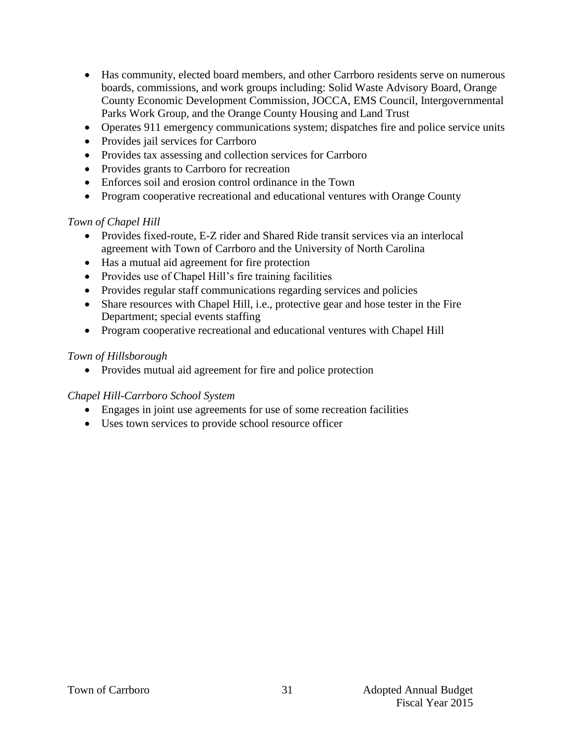- Has community, elected board members, and other Carrboro residents serve on numerous boards, commissions, and work groups including: Solid Waste Advisory Board, Orange County Economic Development Commission, JOCCA, EMS Council, Intergovernmental Parks Work Group, and the Orange County Housing and Land Trust
- Operates 911 emergency communications system; dispatches fire and police service units
- Provides jail services for Carrboro
- Provides tax assessing and collection services for Carrboro
- Provides grants to Carrboro for recreation
- Enforces soil and erosion control ordinance in the Town
- Program cooperative recreational and educational ventures with Orange County

# *Town of Chapel Hill*

- Provides fixed-route, E-Z rider and Shared Ride transit services via an interlocal agreement with Town of Carrboro and the University of North Carolina
- Has a mutual aid agreement for fire protection
- Provides use of Chapel Hill's fire training facilities
- Provides regular staff communications regarding services and policies
- Share resources with Chapel Hill, i.e., protective gear and hose tester in the Fire Department; special events staffing
- Program cooperative recreational and educational ventures with Chapel Hill

# *Town of Hillsborough*

• Provides mutual aid agreement for fire and police protection

# *Chapel Hill-Carrboro School System*

- Engages in joint use agreements for use of some recreation facilities
- Uses town services to provide school resource officer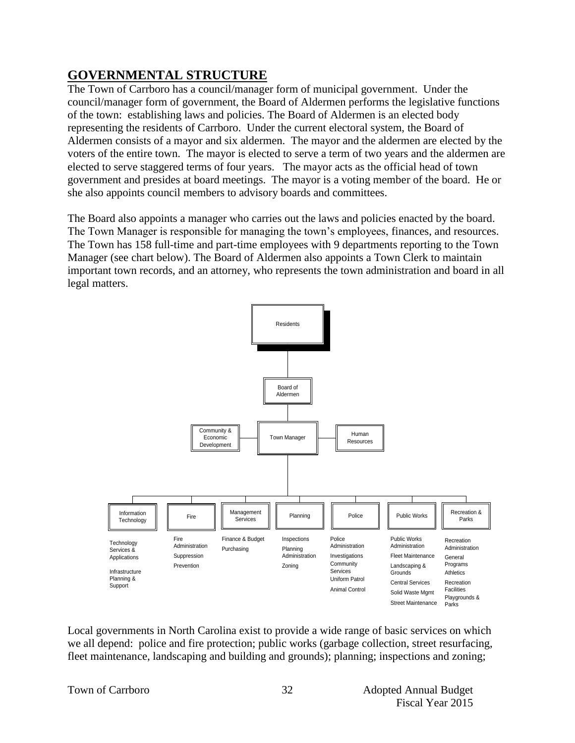# **GOVERNMENTAL STRUCTURE**

The Town of Carrboro has a council/manager form of municipal government. Under the council/manager form of government, the Board of Aldermen performs the legislative functions of the town: establishing laws and policies. The Board of Aldermen is an elected body representing the residents of Carrboro. Under the current electoral system, the Board of Aldermen consists of a mayor and six aldermen. The mayor and the aldermen are elected by the voters of the entire town. The mayor is elected to serve a term of two years and the aldermen are elected to serve staggered terms of four years. The mayor acts as the official head of town government and presides at board meetings. The mayor is a voting member of the board. He or she also appoints council members to advisory boards and committees.

The Board also appoints a manager who carries out the laws and policies enacted by the board. The Town Manager is responsible for managing the town's employees, finances, and resources. The Town has 158 full-time and part-time employees with 9 departments reporting to the Town Manager (see chart below). The Board of Aldermen also appoints a Town Clerk to maintain important town records, and an attorney, who represents the town administration and board in all legal matters.



Local governments in North Carolina exist to provide a wide range of basic services on which we all depend: police and fire protection; public works (garbage collection, street resurfacing, fleet maintenance, landscaping and building and grounds); planning; inspections and zoning;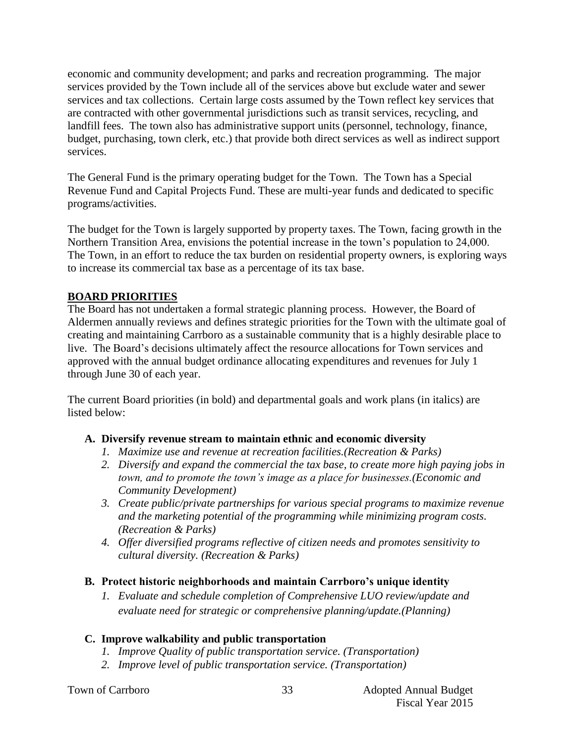economic and community development; and parks and recreation programming. The major services provided by the Town include all of the services above but exclude water and sewer services and tax collections. Certain large costs assumed by the Town reflect key services that are contracted with other governmental jurisdictions such as transit services, recycling, and landfill fees. The town also has administrative support units (personnel, technology, finance, budget, purchasing, town clerk, etc.) that provide both direct services as well as indirect support services.

The General Fund is the primary operating budget for the Town. The Town has a Special Revenue Fund and Capital Projects Fund. These are multi-year funds and dedicated to specific programs/activities.

The budget for the Town is largely supported by property taxes. The Town, facing growth in the Northern Transition Area, envisions the potential increase in the town's population to 24,000. The Town, in an effort to reduce the tax burden on residential property owners, is exploring ways to increase its commercial tax base as a percentage of its tax base.

# **BOARD PRIORITIES**

The Board has not undertaken a formal strategic planning process. However, the Board of Aldermen annually reviews and defines strategic priorities for the Town with the ultimate goal of creating and maintaining Carrboro as a sustainable community that is a highly desirable place to live. The Board's decisions ultimately affect the resource allocations for Town services and approved with the annual budget ordinance allocating expenditures and revenues for July 1 through June 30 of each year.

The current Board priorities (in bold) and departmental goals and work plans (in italics) are listed below:

# **A. Diversify revenue stream to maintain ethnic and economic diversity**

- *1. Maximize use and revenue at recreation facilities.(Recreation & Parks)*
- *2. Diversify and expand the commercial the tax base, to create more high paying jobs in town, and to promote the town's image as a place for businesses.(Economic and Community Development)*
- *3. Create public/private partnerships for various special programs to maximize revenue and the marketing potential of the programming while minimizing program costs. (Recreation & Parks)*
- *4. Offer diversified programs reflective of citizen needs and promotes sensitivity to cultural diversity. (Recreation & Parks)*

# **B. Protect historic neighborhoods and maintain Carrboro's unique identity**

*1. Evaluate and schedule completion of Comprehensive LUO review/update and evaluate need for strategic or comprehensive planning/update.(Planning)*

# **C. Improve walkability and public transportation**

- *1. Improve Quality of public transportation service. (Transportation)*
- *2. Improve level of public transportation service. (Transportation)*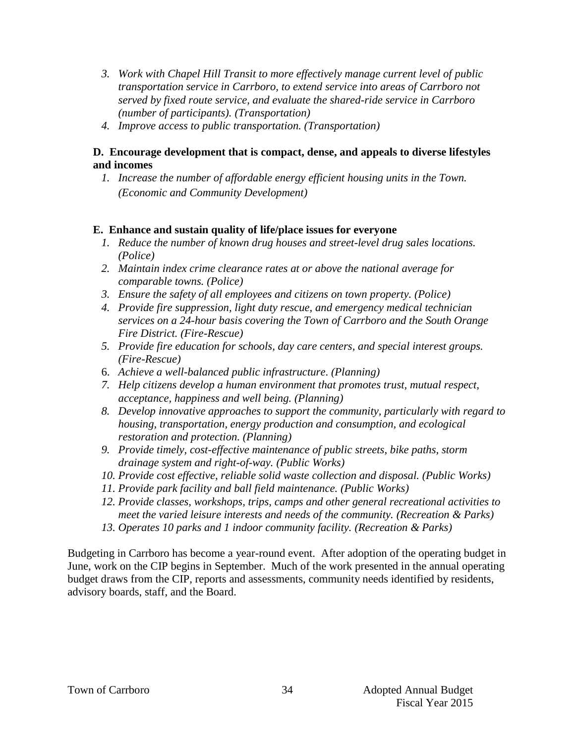- *3. Work with Chapel Hill Transit to more effectively manage current level of public transportation service in Carrboro, to extend service into areas of Carrboro not served by fixed route service, and evaluate the shared-ride service in Carrboro (number of participants). (Transportation)*
- *4. Improve access to public transportation. (Transportation)*

# **D. Encourage development that is compact, dense, and appeals to diverse lifestyles and incomes**

*1. Increase the number of affordable energy efficient housing units in the Town. (Economic and Community Development)*

# **E. Enhance and sustain quality of life/place issues for everyone**

- *1. Reduce the number of known drug houses and street-level drug sales locations. (Police)*
- *2. Maintain index crime clearance rates at or above the national average for comparable towns. (Police)*
- *3. Ensure the safety of all employees and citizens on town property. (Police)*
- *4. Provide fire suppression, light duty rescue, and emergency medical technician services on a 24-hour basis covering the Town of Carrboro and the South Orange Fire District. (Fire-Rescue)*
- *5. Provide fire education for schools, day care centers, and special interest groups. (Fire-Rescue)*
- 6. *Achieve a well-balanced public infrastructure*. *(Planning)*
- *7. Help citizens develop a human environment that promotes trust, mutual respect, acceptance, happiness and well being. (Planning)*
- *8. Develop innovative approaches to support the community, particularly with regard to housing, transportation, energy production and consumption, and ecological restoration and protection. (Planning)*
- *9. Provide timely, cost-effective maintenance of public streets, bike paths, storm drainage system and right-of-way. (Public Works)*
- *10. Provide cost effective, reliable solid waste collection and disposal. (Public Works)*
- *11. Provide park facility and ball field maintenance. (Public Works)*
- *12. Provide classes, workshops, trips, camps and other general recreational activities to meet the varied leisure interests and needs of the community. (Recreation & Parks)*
- *13. Operates 10 parks and 1 indoor community facility. (Recreation & Parks)*

Budgeting in Carrboro has become a year-round event. After adoption of the operating budget in June, work on the CIP begins in September. Much of the work presented in the annual operating budget draws from the CIP, reports and assessments, community needs identified by residents, advisory boards, staff, and the Board.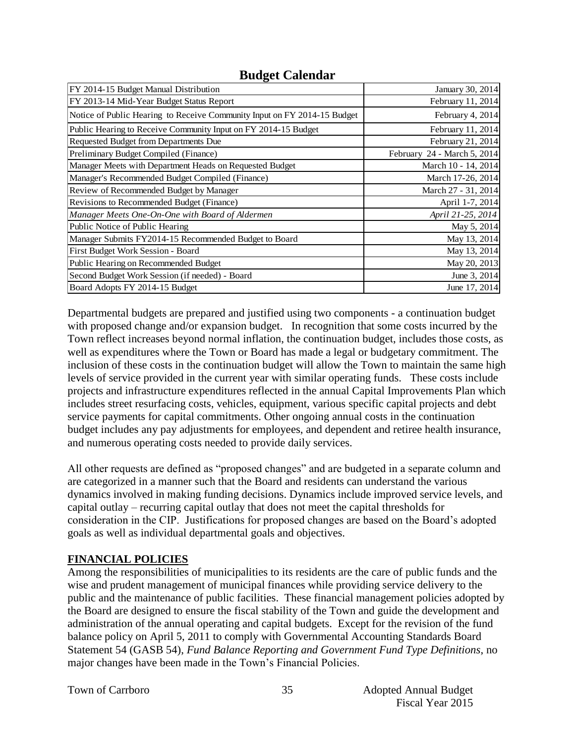# **Budget Calendar**

| FY 2014-15 Budget Manual Distribution                                    | January 30, 2014            |
|--------------------------------------------------------------------------|-----------------------------|
| FY 2013-14 Mid-Year Budget Status Report                                 | February 11, 2014           |
| Notice of Public Hearing to Receive Community Input on FY 2014-15 Budget | February 4, 2014            |
| Public Hearing to Receive Community Input on FY 2014-15 Budget           | February 11, 2014           |
| Requested Budget from Departments Due                                    | February 21, 2014           |
| Preliminary Budget Compiled (Finance)                                    | February 24 - March 5, 2014 |
| Manager Meets with Department Heads on Requested Budget                  | March 10 - 14, 2014         |
| Manager's Recommended Budget Compiled (Finance)                          | March 17-26, 2014           |
| Review of Recommended Budget by Manager                                  | March 27 - 31, 2014         |
| Revisions to Recommended Budget (Finance)                                | April 1-7, 2014             |
| Manager Meets One-On-One with Board of Aldermen                          | April 21-25, 2014           |
| Public Notice of Public Hearing                                          | May 5, 2014                 |
| Manager Submits FY2014-15 Recommended Budget to Board                    | May 13, 2014                |
| First Budget Work Session - Board                                        | May 13, 2014                |
| Public Hearing on Recommended Budget                                     | May 20, 2013                |
| Second Budget Work Session (if needed) - Board                           | June 3, 2014                |
| Board Adopts FY 2014-15 Budget                                           | June 17, 2014               |

Departmental budgets are prepared and justified using two components - a continuation budget with proposed change and/or expansion budget. In recognition that some costs incurred by the Town reflect increases beyond normal inflation, the continuation budget, includes those costs, as well as expenditures where the Town or Board has made a legal or budgetary commitment. The inclusion of these costs in the continuation budget will allow the Town to maintain the same high levels of service provided in the current year with similar operating funds. These costs include projects and infrastructure expenditures reflected in the annual Capital Improvements Plan which includes street resurfacing costs, vehicles, equipment, various specific capital projects and debt service payments for capital commitments. Other ongoing annual costs in the continuation budget includes any pay adjustments for employees, and dependent and retiree health insurance, and numerous operating costs needed to provide daily services.

All other requests are defined as "proposed changes" and are budgeted in a separate column and are categorized in a manner such that the Board and residents can understand the various dynamics involved in making funding decisions. Dynamics include improved service levels, and capital outlay – recurring capital outlay that does not meet the capital thresholds for consideration in the CIP. Justifications for proposed changes are based on the Board's adopted goals as well as individual departmental goals and objectives.

# **FINANCIAL POLICIES**

Among the responsibilities of municipalities to its residents are the care of public funds and the wise and prudent management of municipal finances while providing service delivery to the public and the maintenance of public facilities. These financial management policies adopted by the Board are designed to ensure the fiscal stability of the Town and guide the development and administration of the annual operating and capital budgets. Except for the revision of the fund balance policy on April 5, 2011 to comply with Governmental Accounting Standards Board Statement 54 (GASB 54), *Fund Balance Reporting and Government Fund Type Definitions*, no major changes have been made in the Town's Financial Policies.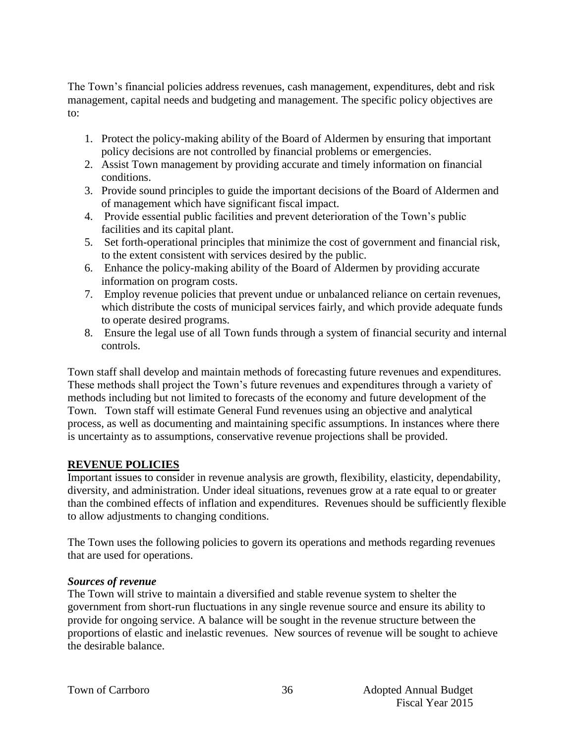The Town's financial policies address revenues, cash management, expenditures, debt and risk management, capital needs and budgeting and management. The specific policy objectives are to:

- 1. Protect the policy-making ability of the Board of Aldermen by ensuring that important policy decisions are not controlled by financial problems or emergencies.
- 2. Assist Town management by providing accurate and timely information on financial conditions.
- 3. Provide sound principles to guide the important decisions of the Board of Aldermen and of management which have significant fiscal impact.
- 4. Provide essential public facilities and prevent deterioration of the Town's public facilities and its capital plant.
- 5. Set forth-operational principles that minimize the cost of government and financial risk, to the extent consistent with services desired by the public.
- 6. Enhance the policy-making ability of the Board of Aldermen by providing accurate information on program costs.
- 7. Employ revenue policies that prevent undue or unbalanced reliance on certain revenues, which distribute the costs of municipal services fairly, and which provide adequate funds to operate desired programs.
- 8. Ensure the legal use of all Town funds through a system of financial security and internal controls.

Town staff shall develop and maintain methods of forecasting future revenues and expenditures. These methods shall project the Town's future revenues and expenditures through a variety of methods including but not limited to forecasts of the economy and future development of the Town. Town staff will estimate General Fund revenues using an objective and analytical process, as well as documenting and maintaining specific assumptions. In instances where there is uncertainty as to assumptions, conservative revenue projections shall be provided.

# **REVENUE POLICIES**

Important issues to consider in revenue analysis are growth, flexibility, elasticity, dependability, diversity, and administration. Under ideal situations, revenues grow at a rate equal to or greater than the combined effects of inflation and expenditures. Revenues should be sufficiently flexible to allow adjustments to changing conditions.

The Town uses the following policies to govern its operations and methods regarding revenues that are used for operations.

# *Sources of revenue*

The Town will strive to maintain a diversified and stable revenue system to shelter the government from short-run fluctuations in any single revenue source and ensure its ability to provide for ongoing service. A balance will be sought in the revenue structure between the proportions of elastic and inelastic revenues. New sources of revenue will be sought to achieve the desirable balance.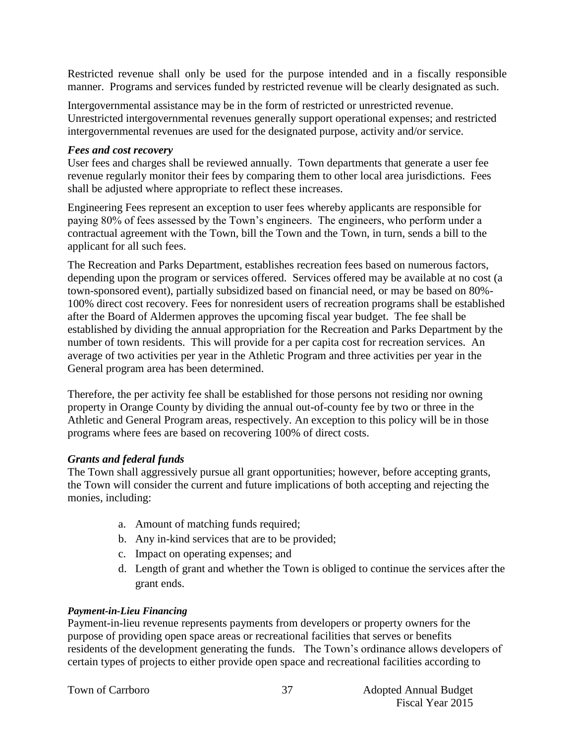Restricted revenue shall only be used for the purpose intended and in a fiscally responsible manner. Programs and services funded by restricted revenue will be clearly designated as such.

Intergovernmental assistance may be in the form of restricted or unrestricted revenue. Unrestricted intergovernmental revenues generally support operational expenses; and restricted intergovernmental revenues are used for the designated purpose, activity and/or service.

#### *Fees and cost recovery*

User fees and charges shall be reviewed annually. Town departments that generate a user fee revenue regularly monitor their fees by comparing them to other local area jurisdictions. Fees shall be adjusted where appropriate to reflect these increases.

Engineering Fees represent an exception to user fees whereby applicants are responsible for paying 80% of fees assessed by the Town's engineers. The engineers, who perform under a contractual agreement with the Town, bill the Town and the Town, in turn, sends a bill to the applicant for all such fees.

The Recreation and Parks Department, establishes recreation fees based on numerous factors, depending upon the program or services offered. Services offered may be available at no cost (a town-sponsored event), partially subsidized based on financial need, or may be based on 80%- 100% direct cost recovery. Fees for nonresident users of recreation programs shall be established after the Board of Aldermen approves the upcoming fiscal year budget. The fee shall be established by dividing the annual appropriation for the Recreation and Parks Department by the number of town residents. This will provide for a per capita cost for recreation services. An average of two activities per year in the Athletic Program and three activities per year in the General program area has been determined.

Therefore, the per activity fee shall be established for those persons not residing nor owning property in Orange County by dividing the annual out-of-county fee by two or three in the Athletic and General Program areas, respectively. An exception to this policy will be in those programs where fees are based on recovering 100% of direct costs.

# *Grants and federal funds*

The Town shall aggressively pursue all grant opportunities; however, before accepting grants, the Town will consider the current and future implications of both accepting and rejecting the monies, including:

- a. Amount of matching funds required;
- b. Any in-kind services that are to be provided;
- c. Impact on operating expenses; and
- d. Length of grant and whether the Town is obliged to continue the services after the grant ends.

# *Payment-in-Lieu Financing*

Payment-in-lieu revenue represents payments from developers or property owners for the purpose of providing open space areas or recreational facilities that serves or benefits residents of the development generating the funds. The Town's ordinance allows developers of certain types of projects to either provide open space and recreational facilities according to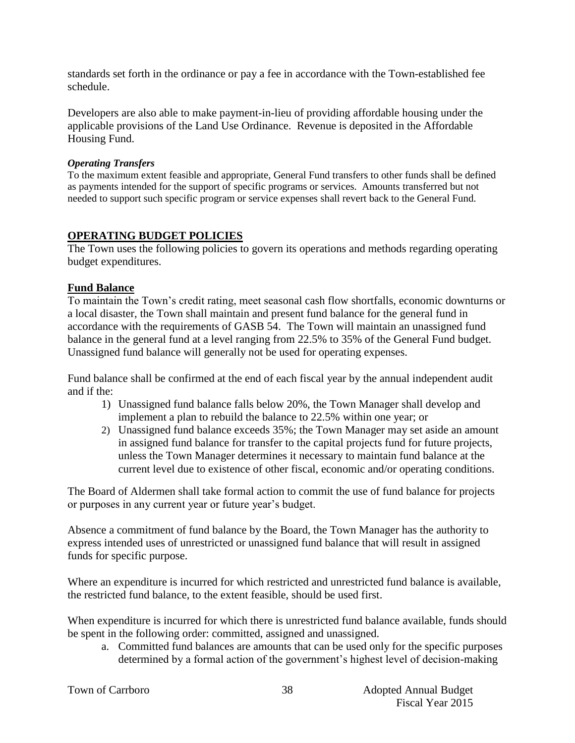standards set forth in the ordinance or pay a fee in accordance with the Town-established fee schedule.

Developers are also able to make payment-in-lieu of providing affordable housing under the applicable provisions of the Land Use Ordinance. Revenue is deposited in the Affordable Housing Fund.

#### *Operating Transfers*

To the maximum extent feasible and appropriate, General Fund transfers to other funds shall be defined as payments intended for the support of specific programs or services. Amounts transferred but not needed to support such specific program or service expenses shall revert back to the General Fund.

#### **OPERATING BUDGET POLICIES**

The Town uses the following policies to govern its operations and methods regarding operating budget expenditures.

#### **Fund Balance**

To maintain the Town's credit rating, meet seasonal cash flow shortfalls, economic downturns or a local disaster, the Town shall maintain and present fund balance for the general fund in accordance with the requirements of GASB 54. The Town will maintain an unassigned fund balance in the general fund at a level ranging from 22.5% to 35% of the General Fund budget. Unassigned fund balance will generally not be used for operating expenses.

Fund balance shall be confirmed at the end of each fiscal year by the annual independent audit and if the:

- 1) Unassigned fund balance falls below 20%, the Town Manager shall develop and implement a plan to rebuild the balance to 22.5% within one year; or
- 2) Unassigned fund balance exceeds 35%; the Town Manager may set aside an amount in assigned fund balance for transfer to the capital projects fund for future projects, unless the Town Manager determines it necessary to maintain fund balance at the current level due to existence of other fiscal, economic and/or operating conditions.

The Board of Aldermen shall take formal action to commit the use of fund balance for projects or purposes in any current year or future year's budget.

Absence a commitment of fund balance by the Board, the Town Manager has the authority to express intended uses of unrestricted or unassigned fund balance that will result in assigned funds for specific purpose.

Where an expenditure is incurred for which restricted and unrestricted fund balance is available, the restricted fund balance, to the extent feasible, should be used first.

When expenditure is incurred for which there is unrestricted fund balance available, funds should be spent in the following order: committed, assigned and unassigned.

a. Committed fund balances are amounts that can be used only for the specific purposes determined by a formal action of the government's highest level of decision-making

38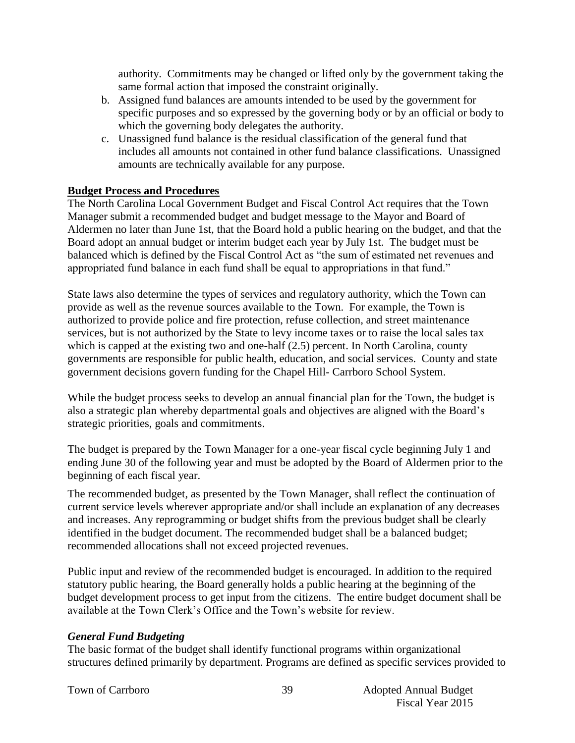authority. Commitments may be changed or lifted only by the government taking the same formal action that imposed the constraint originally.

- b. Assigned fund balances are amounts intended to be used by the government for specific purposes and so expressed by the governing body or by an official or body to which the governing body delegates the authority.
- c. Unassigned fund balance is the residual classification of the general fund that includes all amounts not contained in other fund balance classifications. Unassigned amounts are technically available for any purpose.

# **Budget Process and Procedures**

The North Carolina Local Government Budget and Fiscal Control Act requires that the Town Manager submit a recommended budget and budget message to the Mayor and Board of Aldermen no later than June 1st, that the Board hold a public hearing on the budget, and that the Board adopt an annual budget or interim budget each year by July 1st. The budget must be balanced which is defined by the Fiscal Control Act as "the sum of estimated net revenues and appropriated fund balance in each fund shall be equal to appropriations in that fund."

State laws also determine the types of services and regulatory authority, which the Town can provide as well as the revenue sources available to the Town. For example, the Town is authorized to provide police and fire protection, refuse collection, and street maintenance services, but is not authorized by the State to levy income taxes or to raise the local sales tax which is capped at the existing two and one-half  $(2.5)$  percent. In North Carolina, county governments are responsible for public health, education, and social services. County and state government decisions govern funding for the Chapel Hill- Carrboro School System.

While the budget process seeks to develop an annual financial plan for the Town, the budget is also a strategic plan whereby departmental goals and objectives are aligned with the Board's strategic priorities, goals and commitments.

The budget is prepared by the Town Manager for a one-year fiscal cycle beginning July 1 and ending June 30 of the following year and must be adopted by the Board of Aldermen prior to the beginning of each fiscal year.

The recommended budget, as presented by the Town Manager, shall reflect the continuation of current service levels wherever appropriate and/or shall include an explanation of any decreases and increases. Any reprogramming or budget shifts from the previous budget shall be clearly identified in the budget document. The recommended budget shall be a balanced budget; recommended allocations shall not exceed projected revenues.

Public input and review of the recommended budget is encouraged. In addition to the required statutory public hearing, the Board generally holds a public hearing at the beginning of the budget development process to get input from the citizens. The entire budget document shall be available at the Town Clerk's Office and the Town's website for review.

#### *General Fund Budgeting*

The basic format of the budget shall identify functional programs within organizational structures defined primarily by department. Programs are defined as specific services provided to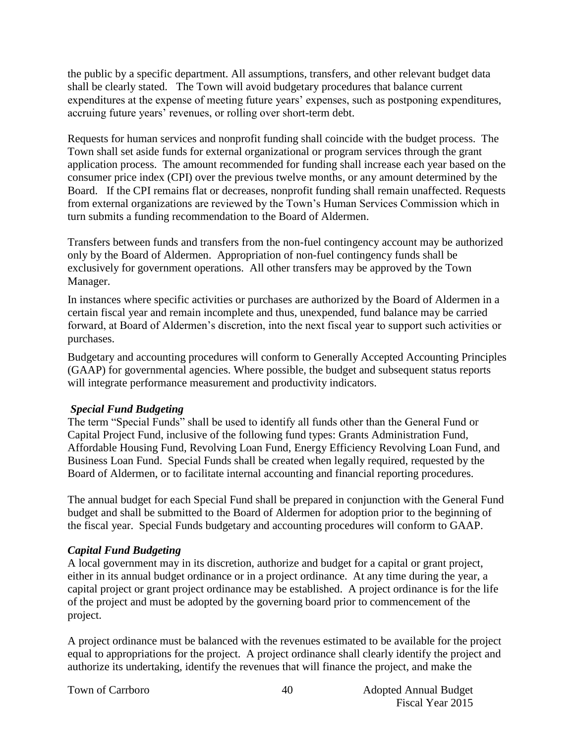the public by a specific department. All assumptions, transfers, and other relevant budget data shall be clearly stated. The Town will avoid budgetary procedures that balance current expenditures at the expense of meeting future years' expenses, such as postponing expenditures, accruing future years' revenues, or rolling over short-term debt.

Requests for human services and nonprofit funding shall coincide with the budget process. The Town shall set aside funds for external organizational or program services through the grant application process. The amount recommended for funding shall increase each year based on the consumer price index (CPI) over the previous twelve months, or any amount determined by the Board. If the CPI remains flat or decreases, nonprofit funding shall remain unaffected. Requests from external organizations are reviewed by the Town's Human Services Commission which in turn submits a funding recommendation to the Board of Aldermen.

Transfers between funds and transfers from the non-fuel contingency account may be authorized only by the Board of Aldermen. Appropriation of non-fuel contingency funds shall be exclusively for government operations. All other transfers may be approved by the Town Manager.

In instances where specific activities or purchases are authorized by the Board of Aldermen in a certain fiscal year and remain incomplete and thus, unexpended, fund balance may be carried forward, at Board of Aldermen's discretion, into the next fiscal year to support such activities or purchases.

Budgetary and accounting procedures will conform to Generally Accepted Accounting Principles (GAAP) for governmental agencies. Where possible, the budget and subsequent status reports will integrate performance measurement and productivity indicators.

# *Special Fund Budgeting*

The term "Special Funds" shall be used to identify all funds other than the General Fund or Capital Project Fund, inclusive of the following fund types: Grants Administration Fund, Affordable Housing Fund, Revolving Loan Fund, Energy Efficiency Revolving Loan Fund, and Business Loan Fund. Special Funds shall be created when legally required, requested by the Board of Aldermen, or to facilitate internal accounting and financial reporting procedures.

The annual budget for each Special Fund shall be prepared in conjunction with the General Fund budget and shall be submitted to the Board of Aldermen for adoption prior to the beginning of the fiscal year. Special Funds budgetary and accounting procedures will conform to GAAP.

#### *Capital Fund Budgeting*

A local government may in its discretion, authorize and budget for a capital or grant project, either in its annual budget ordinance or in a project ordinance. At any time during the year, a capital project or grant project ordinance may be established. A project ordinance is for the life of the project and must be adopted by the governing board prior to commencement of the project.

A project ordinance must be balanced with the revenues estimated to be available for the project equal to appropriations for the project. A project ordinance shall clearly identify the project and authorize its undertaking, identify the revenues that will finance the project, and make the

Town of Carrboro **Adopted Annual Budget** Annual Budget Fiscal Year 2015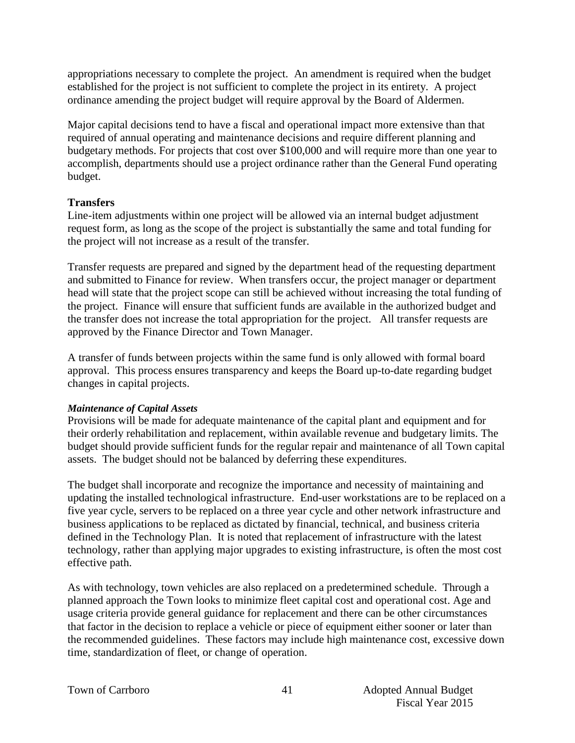appropriations necessary to complete the project. An amendment is required when the budget established for the project is not sufficient to complete the project in its entirety. A project ordinance amending the project budget will require approval by the Board of Aldermen.

Major capital decisions tend to have a fiscal and operational impact more extensive than that required of annual operating and maintenance decisions and require different planning and budgetary methods. For projects that cost over \$100,000 and will require more than one year to accomplish, departments should use a project ordinance rather than the General Fund operating budget.

# **Transfers**

Line-item adjustments within one project will be allowed via an internal budget adjustment request form, as long as the scope of the project is substantially the same and total funding for the project will not increase as a result of the transfer.

Transfer requests are prepared and signed by the department head of the requesting department and submitted to Finance for review. When transfers occur, the project manager or department head will state that the project scope can still be achieved without increasing the total funding of the project. Finance will ensure that sufficient funds are available in the authorized budget and the transfer does not increase the total appropriation for the project. All transfer requests are approved by the Finance Director and Town Manager.

A transfer of funds between projects within the same fund is only allowed with formal board approval. This process ensures transparency and keeps the Board up-to-date regarding budget changes in capital projects.

#### *Maintenance of Capital Assets*

Provisions will be made for adequate maintenance of the capital plant and equipment and for their orderly rehabilitation and replacement, within available revenue and budgetary limits. The budget should provide sufficient funds for the regular repair and maintenance of all Town capital assets. The budget should not be balanced by deferring these expenditures.

The budget shall incorporate and recognize the importance and necessity of maintaining and updating the installed technological infrastructure. End-user workstations are to be replaced on a five year cycle, servers to be replaced on a three year cycle and other network infrastructure and business applications to be replaced as dictated by financial, technical, and business criteria defined in the Technology Plan. It is noted that replacement of infrastructure with the latest technology, rather than applying major upgrades to existing infrastructure, is often the most cost effective path.

As with technology, town vehicles are also replaced on a predetermined schedule. Through a planned approach the Town looks to minimize fleet capital cost and operational cost. Age and usage criteria provide general guidance for replacement and there can be other circumstances that factor in the decision to replace a vehicle or piece of equipment either sooner or later than the recommended guidelines. These factors may include high maintenance cost, excessive down time, standardization of fleet, or change of operation.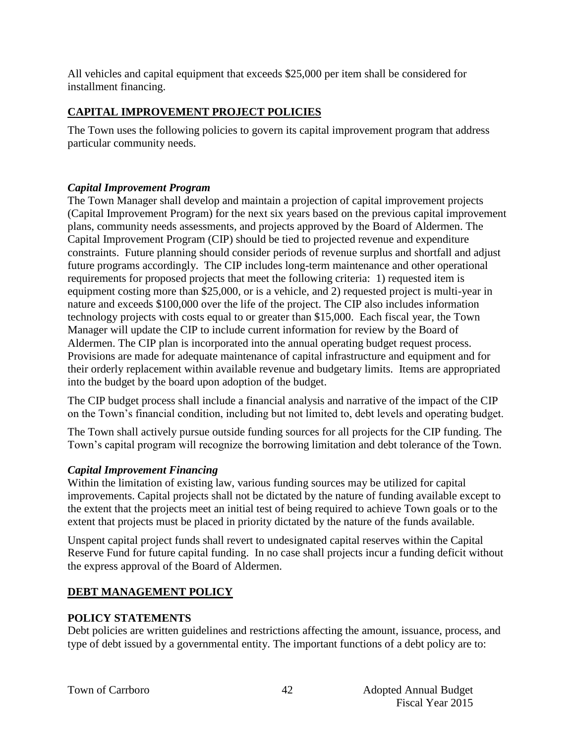All vehicles and capital equipment that exceeds \$25,000 per item shall be considered for installment financing.

# **CAPITAL IMPROVEMENT PROJECT POLICIES**

The Town uses the following policies to govern its capital improvement program that address particular community needs.

# *Capital Improvement Program*

The Town Manager shall develop and maintain a projection of capital improvement projects (Capital Improvement Program) for the next six years based on the previous capital improvement plans, community needs assessments, and projects approved by the Board of Aldermen. The Capital Improvement Program (CIP) should be tied to projected revenue and expenditure constraints. Future planning should consider periods of revenue surplus and shortfall and adjust future programs accordingly. The CIP includes long-term maintenance and other operational requirements for proposed projects that meet the following criteria: 1) requested item is equipment costing more than \$25,000, or is a vehicle, and 2) requested project is multi-year in nature and exceeds \$100,000 over the life of the project. The CIP also includes information technology projects with costs equal to or greater than \$15,000. Each fiscal year, the Town Manager will update the CIP to include current information for review by the Board of Aldermen. The CIP plan is incorporated into the annual operating budget request process. Provisions are made for adequate maintenance of capital infrastructure and equipment and for their orderly replacement within available revenue and budgetary limits. Items are appropriated into the budget by the board upon adoption of the budget.

The CIP budget process shall include a financial analysis and narrative of the impact of the CIP on the Town's financial condition, including but not limited to, debt levels and operating budget.

The Town shall actively pursue outside funding sources for all projects for the CIP funding. The Town's capital program will recognize the borrowing limitation and debt tolerance of the Town.

# *Capital Improvement Financing*

Within the limitation of existing law, various funding sources may be utilized for capital improvements. Capital projects shall not be dictated by the nature of funding available except to the extent that the projects meet an initial test of being required to achieve Town goals or to the extent that projects must be placed in priority dictated by the nature of the funds available.

Unspent capital project funds shall revert to undesignated capital reserves within the Capital Reserve Fund for future capital funding. In no case shall projects incur a funding deficit without the express approval of the Board of Aldermen.

# **DEBT MANAGEMENT POLICY**

# **POLICY STATEMENTS**

Debt policies are written guidelines and restrictions affecting the amount, issuance, process, and type of debt issued by a governmental entity. The important functions of a debt policy are to: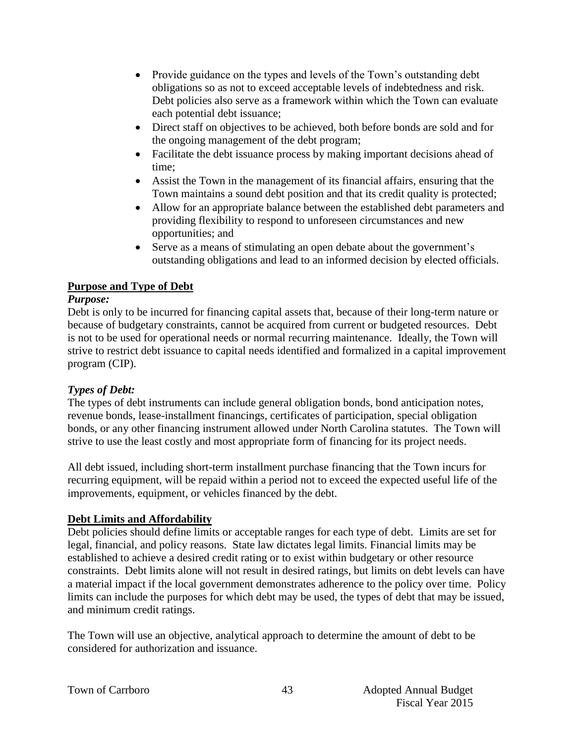- Provide guidance on the types and levels of the Town's outstanding debt obligations so as not to exceed acceptable levels of indebtedness and risk. Debt policies also serve as a framework within which the Town can evaluate each potential debt issuance;
- Direct staff on objectives to be achieved, both before bonds are sold and for the ongoing management of the debt program;
- Facilitate the debt issuance process by making important decisions ahead of time;
- Assist the Town in the management of its financial affairs, ensuring that the Town maintains a sound debt position and that its credit quality is protected;
- Allow for an appropriate balance between the established debt parameters and providing flexibility to respond to unforeseen circumstances and new opportunities; and
- Serve as a means of stimulating an open debate about the government's outstanding obligations and lead to an informed decision by elected officials.

# **Purpose and Type of Debt**

# *Purpose:*

Debt is only to be incurred for financing capital assets that, because of their long-term nature or because of budgetary constraints, cannot be acquired from current or budgeted resources. Debt is not to be used for operational needs or normal recurring maintenance. Ideally, the Town will strive to restrict debt issuance to capital needs identified and formalized in a capital improvement program (CIP).

# *Types of Debt:*

The types of debt instruments can include general obligation bonds, bond anticipation notes, revenue bonds, lease-installment financings, certificates of participation, special obligation bonds, or any other financing instrument allowed under North Carolina statutes. The Town will strive to use the least costly and most appropriate form of financing for its project needs.

All debt issued, including short-term installment purchase financing that the Town incurs for recurring equipment, will be repaid within a period not to exceed the expected useful life of the improvements, equipment, or vehicles financed by the debt.

# **Debt Limits and Affordability**

Debt policies should define limits or acceptable ranges for each type of debt. Limits are set for legal, financial, and policy reasons. State law dictates legal limits. Financial limits may be established to achieve a desired credit rating or to exist within budgetary or other resource constraints. Debt limits alone will not result in desired ratings, but limits on debt levels can have a material impact if the local government demonstrates adherence to the policy over time. Policy limits can include the purposes for which debt may be used, the types of debt that may be issued, and minimum credit ratings.

The Town will use an objective, analytical approach to determine the amount of debt to be considered for authorization and issuance.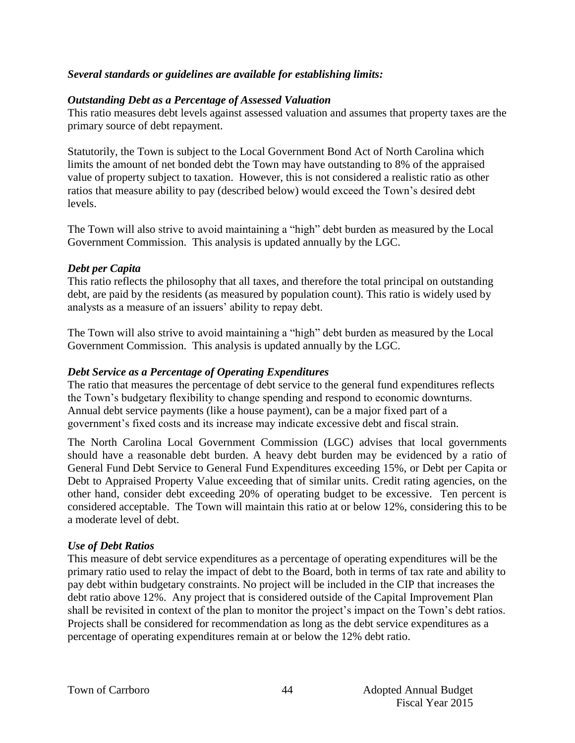#### *Several standards or guidelines are available for establishing limits:*

#### *Outstanding Debt as a Percentage of Assessed Valuation*

This ratio measures debt levels against assessed valuation and assumes that property taxes are the primary source of debt repayment.

Statutorily, the Town is subject to the Local Government Bond Act of North Carolina which limits the amount of net bonded debt the Town may have outstanding to 8% of the appraised value of property subject to taxation. However, this is not considered a realistic ratio as other ratios that measure ability to pay (described below) would exceed the Town's desired debt levels.

The Town will also strive to avoid maintaining a "high" debt burden as measured by the Local Government Commission. This analysis is updated annually by the LGC.

#### *Debt per Capita*

This ratio reflects the philosophy that all taxes, and therefore the total principal on outstanding debt, are paid by the residents (as measured by population count). This ratio is widely used by analysts as a measure of an issuers' ability to repay debt.

The Town will also strive to avoid maintaining a "high" debt burden as measured by the Local Government Commission. This analysis is updated annually by the LGC.

#### *Debt Service as a Percentage of Operating Expenditures*

The ratio that measures the percentage of debt service to the general fund expenditures reflects the Town's budgetary flexibility to change spending and respond to economic downturns. Annual debt service payments (like a house payment), can be a major fixed part of a government's fixed costs and its increase may indicate excessive debt and fiscal strain.

The North Carolina Local Government Commission (LGC) advises that local governments should have a reasonable debt burden. A heavy debt burden may be evidenced by a ratio of General Fund Debt Service to General Fund Expenditures exceeding 15%, or Debt per Capita or Debt to Appraised Property Value exceeding that of similar units. Credit rating agencies, on the other hand, consider debt exceeding 20% of operating budget to be excessive. Ten percent is considered acceptable. The Town will maintain this ratio at or below 12%, considering this to be a moderate level of debt.

#### *Use of Debt Ratios*

This measure of debt service expenditures as a percentage of operating expenditures will be the primary ratio used to relay the impact of debt to the Board, both in terms of tax rate and ability to pay debt within budgetary constraints. No project will be included in the CIP that increases the debt ratio above 12%. Any project that is considered outside of the Capital Improvement Plan shall be revisited in context of the plan to monitor the project's impact on the Town's debt ratios. Projects shall be considered for recommendation as long as the debt service expenditures as a percentage of operating expenditures remain at or below the 12% debt ratio.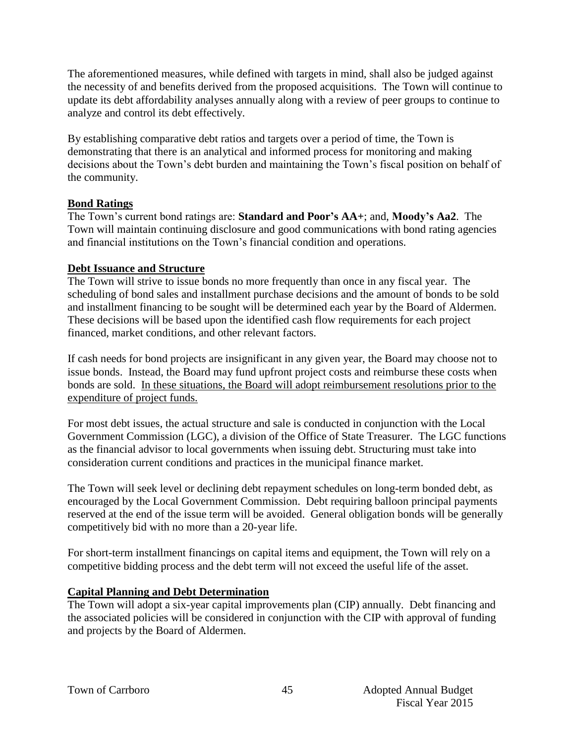The aforementioned measures, while defined with targets in mind, shall also be judged against the necessity of and benefits derived from the proposed acquisitions. The Town will continue to update its debt affordability analyses annually along with a review of peer groups to continue to analyze and control its debt effectively.

By establishing comparative debt ratios and targets over a period of time, the Town is demonstrating that there is an analytical and informed process for monitoring and making decisions about the Town's debt burden and maintaining the Town's fiscal position on behalf of the community.

# **Bond Ratings**

The Town's current bond ratings are: **Standard and Poor's AA+**; and, **Moody's Aa2**. The Town will maintain continuing disclosure and good communications with bond rating agencies and financial institutions on the Town's financial condition and operations.

# **Debt Issuance and Structure**

The Town will strive to issue bonds no more frequently than once in any fiscal year. The scheduling of bond sales and installment purchase decisions and the amount of bonds to be sold and installment financing to be sought will be determined each year by the Board of Aldermen. These decisions will be based upon the identified cash flow requirements for each project financed, market conditions, and other relevant factors.

If cash needs for bond projects are insignificant in any given year, the Board may choose not to issue bonds. Instead, the Board may fund upfront project costs and reimburse these costs when bonds are sold. In these situations, the Board will adopt reimbursement resolutions prior to the expenditure of project funds.

For most debt issues, the actual structure and sale is conducted in conjunction with the Local Government Commission (LGC), a division of the Office of State Treasurer. The LGC functions as the financial advisor to local governments when issuing debt. Structuring must take into consideration current conditions and practices in the municipal finance market.

The Town will seek level or declining debt repayment schedules on long-term bonded debt, as encouraged by the Local Government Commission. Debt requiring balloon principal payments reserved at the end of the issue term will be avoided. General obligation bonds will be generally competitively bid with no more than a 20-year life.

For short-term installment financings on capital items and equipment, the Town will rely on a competitive bidding process and the debt term will not exceed the useful life of the asset.

# **Capital Planning and Debt Determination**

The Town will adopt a six-year capital improvements plan (CIP) annually. Debt financing and the associated policies will be considered in conjunction with the CIP with approval of funding and projects by the Board of Aldermen.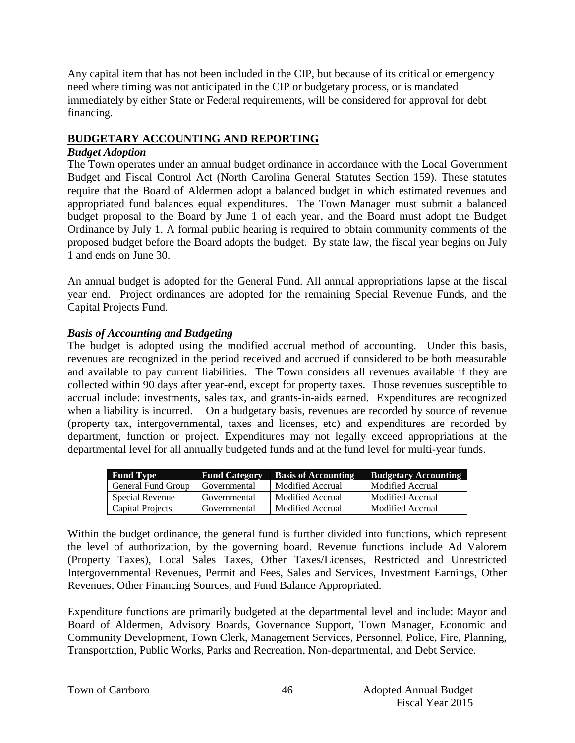Any capital item that has not been included in the CIP, but because of its critical or emergency need where timing was not anticipated in the CIP or budgetary process, or is mandated immediately by either State or Federal requirements, will be considered for approval for debt financing.

# **BUDGETARY ACCOUNTING AND REPORTING**

# *Budget Adoption*

The Town operates under an annual budget ordinance in accordance with the Local Government Budget and Fiscal Control Act (North Carolina General Statutes Section 159). These statutes require that the Board of Aldermen adopt a balanced budget in which estimated revenues and appropriated fund balances equal expenditures. The Town Manager must submit a balanced budget proposal to the Board by June 1 of each year, and the Board must adopt the Budget Ordinance by July 1. A formal public hearing is required to obtain community comments of the proposed budget before the Board adopts the budget. By state law, the fiscal year begins on July 1 and ends on June 30.

An annual budget is adopted for the General Fund. All annual appropriations lapse at the fiscal year end. Project ordinances are adopted for the remaining Special Revenue Funds, and the Capital Projects Fund.

# *Basis of Accounting and Budgeting*

The budget is adopted using the modified accrual method of accounting. Under this basis, revenues are recognized in the period received and accrued if considered to be both measurable and available to pay current liabilities. The Town considers all revenues available if they are collected within 90 days after year-end, except for property taxes. Those revenues susceptible to accrual include: investments, sales tax, and grants-in-aids earned. Expenditures are recognized when a liability is incurred. On a budgetary basis, revenues are recorded by source of revenue (property tax, intergovernmental, taxes and licenses, etc) and expenditures are recorded by department, function or project. Expenditures may not legally exceed appropriations at the departmental level for all annually budgeted funds and at the fund level for multi-year funds.

| <b>Fund Type</b>   | <b>Fund Category</b> | <b>Basis of Accounting</b> | <b>Budgetary Accounting</b> |
|--------------------|----------------------|----------------------------|-----------------------------|
| General Fund Group | Governmental         | Modified Accrual           | Modified Accrual            |
| Special Revenue    | Governmental         | Modified Accrual           | Modified Accrual            |
| Capital Projects   | Governmental         | Modified Accrual           | Modified Accrual            |

Within the budget ordinance, the general fund is further divided into functions, which represent the level of authorization, by the governing board. Revenue functions include Ad Valorem (Property Taxes), Local Sales Taxes, Other Taxes/Licenses, Restricted and Unrestricted Intergovernmental Revenues, Permit and Fees, Sales and Services, Investment Earnings, Other Revenues, Other Financing Sources, and Fund Balance Appropriated.

Expenditure functions are primarily budgeted at the departmental level and include: Mayor and Board of Aldermen, Advisory Boards, Governance Support, Town Manager, Economic and Community Development, Town Clerk, Management Services, Personnel, Police, Fire, Planning, Transportation, Public Works, Parks and Recreation, Non-departmental, and Debt Service.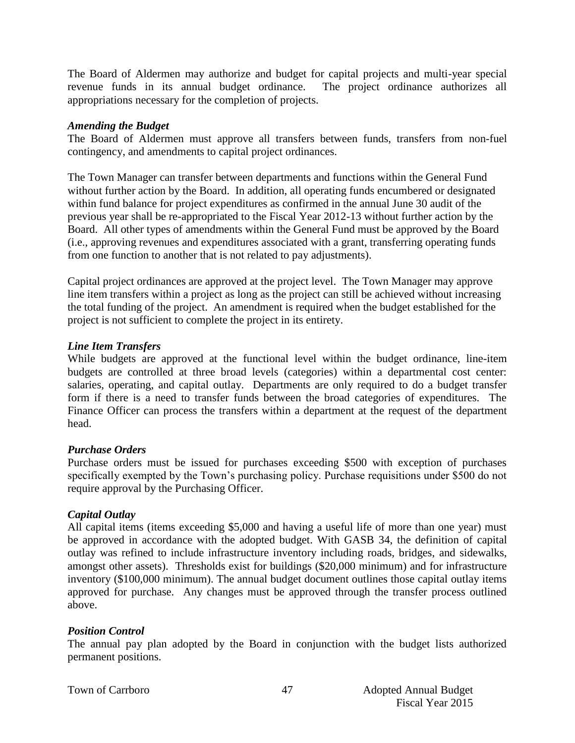The Board of Aldermen may authorize and budget for capital projects and multi-year special revenue funds in its annual budget ordinance. The project ordinance authorizes all appropriations necessary for the completion of projects.

#### *Amending the Budget*

The Board of Aldermen must approve all transfers between funds, transfers from non-fuel contingency, and amendments to capital project ordinances.

The Town Manager can transfer between departments and functions within the General Fund without further action by the Board. In addition, all operating funds encumbered or designated within fund balance for project expenditures as confirmed in the annual June 30 audit of the previous year shall be re-appropriated to the Fiscal Year 2012-13 without further action by the Board. All other types of amendments within the General Fund must be approved by the Board (i.e., approving revenues and expenditures associated with a grant, transferring operating funds from one function to another that is not related to pay adjustments).

Capital project ordinances are approved at the project level. The Town Manager may approve line item transfers within a project as long as the project can still be achieved without increasing the total funding of the project. An amendment is required when the budget established for the project is not sufficient to complete the project in its entirety.

# *Line Item Transfers*

While budgets are approved at the functional level within the budget ordinance, line-item budgets are controlled at three broad levels (categories) within a departmental cost center: salaries, operating, and capital outlay. Departments are only required to do a budget transfer form if there is a need to transfer funds between the broad categories of expenditures. The Finance Officer can process the transfers within a department at the request of the department head.

# *Purchase Orders*

Purchase orders must be issued for purchases exceeding \$500 with exception of purchases specifically exempted by the Town's purchasing policy. Purchase requisitions under \$500 do not require approval by the Purchasing Officer.

# *Capital Outlay*

All capital items (items exceeding \$5,000 and having a useful life of more than one year) must be approved in accordance with the adopted budget. With GASB 34, the definition of capital outlay was refined to include infrastructure inventory including roads, bridges, and sidewalks, amongst other assets). Thresholds exist for buildings (\$20,000 minimum) and for infrastructure inventory (\$100,000 minimum). The annual budget document outlines those capital outlay items approved for purchase. Any changes must be approved through the transfer process outlined above.

# *Position Control*

The annual pay plan adopted by the Board in conjunction with the budget lists authorized permanent positions.